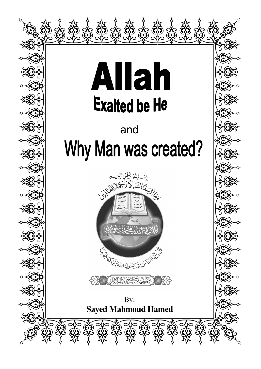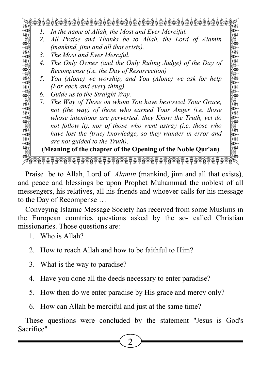QWWWWWWWWWWWWWWWWWWWWWWWE

- $A \rightarrow 1$ . In the name of Allah, the Most and Ever Merciful.
- 2. All Praise and Thanks be to Allah, the Lord of Alamin A D 2. All Praise and Thanks be to Allah, the Lord of Alamin (mankind, jinn and all that exists).
- $\begin{array}{c|c}\n\downarrow\n\downarrow\n\downarrow\n\downarrow\n\end{array}$  3. The Most and Ever Merciful. 3. The Most and Ever Merciful.
- 4. The Only Owner (and the Only Ruling Judge) of the Day of Recompense (i.e. the Day of Resurrection)<br> $\begin{array}{c} 888 \ \hline 1882 \end{array}$ 4. The Only Owner (and the Only Ruling Judge) of the Day of Recompense (i.e. the Day of Resurrection)
- $\mathbb{R}$  5. You (Alone) we worship, and You (Alone) we ask for help  $\mathbb{R}$  $\mathbb{R}$  (For each and every thing).<br>  $\mathbb{R}$  6 Guide us to the Straight Way 5. You (Alone) we worship, and You (Alone) we ask for help (For each and every thing).
	- 6. Guide us to the Straight Way.
- **A set also be used to the Straight Way**.<br>A discrept *The Way of Those on whom You have bestowed Your Grace*.  $\frac{1}{200}$  and the way of those who earned Your Anger (i.e. those whose intentions are perverted: they Know the Truth, yet do  $\frac{1}{20}$  not follow it), nor of those who went astray (i.e. those who have lost the (true) knowledge, so they wander in error and  $\begin{array}{c}\n\text{and} \\
\text{are not guided to the Truth)}\n\end{array}$ 7. The Way of Those on whom You have bestowed Your Grace, not (the way) of those who earned Your Anger (i.e. those whose intentions are perverted: they Know the Truth, yet do not follow it), nor of those who went astray (i.e. those who have lost the (true) knowledge, so they wander in error and are not guided to the Truth).

Meaning of the chapter of the Opening of the Noble Qur'an) (Meaning of the chapter of the Opening of the Noble Qur'an)

ZXXXXXXXXXXXXXXXXXXXXXXXC

Praise be to Allah, Lord of Alamin (mankind, jinn and all that exists), and peace and blessings be upon Prophet Muhammad the noblest of all messengers, his relatives, all his friends and whoever calls for his message to the Day of Recompense …

Conveying Islamic Message Society has received from some Muslims in the European countries questions asked by the so- called Christian missionaries. Those questions are:

- 1. Who is Allah?
- 2. How to reach Allah and how to be faithful to Him?
- 3. What is the way to paradise?
- 4. Have you done all the deeds necessary to enter paradise?
- 5. How then do we enter paradise by His grace and mercy only?
- 6. How can Allah be merciful and just at the same time?

These questions were concluded by the statement "Jesus is God's Sacrifice"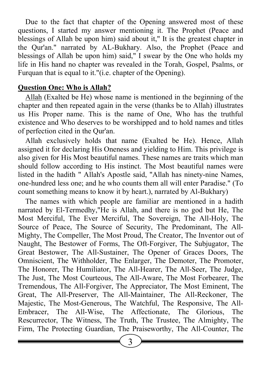Due to the fact that chapter of the Opening answered most of these questions, I started my answer mentioning it. The Prophet (Peace and blessings of Allah be upon him) said about it," It is the greatest chapter in the Qur'an." narrated by AL-Bukhary. Also, the Prophet (Peace and blessings of Allah be upon him) said," I swear by the One who holds my life in His hand no chapter was revealed in the Torah, Gospel, Psalms, or Furquan that is equal to it."(i.e. chapter of the Opening).

#### Question One: Who is Allah?

Allah (Exalted be He) whose name is mentioned in the beginning of the chapter and then repeated again in the verse (thanks be to Allah) illustrates us His Proper name. This is the name of One, Who has the truthful existence and Who deserves to be worshipped and to hold names and titles of perfection cited in the Qur'an.

Allah exclusively holds that name (Exalted be He). Hence, Allah assigned it for declaring His Oneness and yielding to Him. This privilege is also given for His Most beautiful names. These names are traits which man should follow according to His instinct. The Most beautiful names were listed in the hadith " Allah's Apostle said, "Allah has ninety-nine Names, one-hundred less one; and he who counts them all will enter Paradise." (To count something means to know it by heart.), narrated by Al-Bukhary)

The names with which people are familiar are mentioned in a hadith narrated by El-Termedhy,"He is Allah, and there is no god but He, The Most Merciful, The Ever Merciful, The Sovereign, The All-Holy, The Source of Peace, The Source of Security, The Predominant, The All-Mighty, The Compeller, The Most Proud, The Creator, The Inventor out of Naught, The Bestower of Forms, The Oft-Forgiver, The Subjugator, The Great Bestower, The All-Sustainer, The Opener of Graces Doors, The Omniscient, The Withholder, The Enlarger, The Demoter, The Promoter, The Honorer, The Humiliator, The All-Hearer, The All-Seer, The Judge, The Just, The Most Courteous, The All-Aware, The Most Forbearer, The Tremendous, The All-Forgiver, The Appreciator, The Most Eminent, The Great, The All-Preserver, The All-Maintainer, The All-Reckoner, The Majestic, The Most-Generous, The Watchful, The Responsive, The All-Embracer, The All-Wise, The Affectionate, The Glorious, The Rescurrector, The Witness, The Truth, The Trustee, The Almighty, The Firm, The Protecting Guardian, The Praiseworthy, The All-Counter, The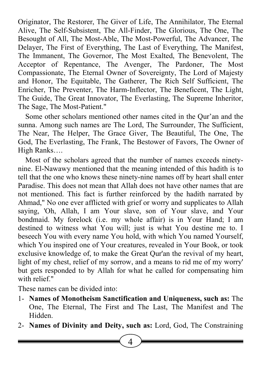Originator, The Restorer, The Giver of Life, The Annihilator, The Eternal Alive, The Self-Subsistent, The All-Finder, The Glorious, The One, The Besought of All, The Most-Able, The Most-Powerful, The Advancer, The Delayer, The First of Everything, The Last of Everything, The Manifest, The Immanent, The Governor, The Most Exalted, The Benevolent, The Acceptor of Repentance, The Avenger, The Pardoner, The Most Compassionate, The Eternal Owner of Sovereignty, The Lord of Majesty and Honor, The Equitable, The Gatherer, The Rich Self Sufficient, The Enricher, The Preventer, The Harm-Inflector, The Beneficent, The Light, The Guide, The Great Innovator, The Everlasting, The Supreme Inheritor, The Sage, The Most-Patient."

Some other scholars mentioned other names cited in the Qur'an and the sunna. Among such names are The Lord, The Surrounder, The Sufficient, The Near, The Helper, The Grace Giver, The Beautiful, The One, The God, The Everlasting, The Frank, The Bestower of Favors, The Owner of High Ranks….

Most of the scholars agreed that the number of names exceeds ninetynine. El-Nawawy mentioned that the meaning intended of this hadith is to tell that the one who knows these ninety-nine names off by heart shall enter Paradise. This does not mean that Allah does not have other names that are not mentioned. This fact is further reinforced by the hadith narrated by Ahmad," No one ever afflicted with grief or worry and supplicates to Allah saying, 'Oh, Allah, I am Your slave, son of Your slave, and Your bondmaid. My forelock (i.e. my whole affair) is in Your Hand; I am destined to witness what You will; just is what You destine me to. I beseech You with every name You hold, with which You named Yourself, which You inspired one of Your creatures, revealed in Your Book, or took exclusive knowledge of, to make the Great Qur'an the revival of my heart, light of my chest, relief of my sorrow, and a means to rid me of my worry' but gets responded to by Allah for what he called for compensating him with relief."

These names can be divided into:

1- Names of Monotheism Sanctification and Uniqueness, such as: The One, The Eternal, The First and The Last, The Manifest and The Hidden.

2- Names of Divinity and Deity, such as: Lord, God, The Constraining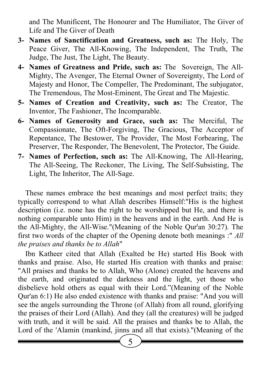and The Munificent, The Honourer and The Humiliator, The Giver of Life and The Giver of Death

- 3- Names of Sanctification and Greatness, such as: The Holy, The Peace Giver, The All-Knowing, The Independent, The Truth, The Judge, The Just, The Light, The Beauty.
- 4- Names of Greatness and Pride, such as: The Sovereign, The All-Mighty, The Avenger, The Eternal Owner of Sovereignty, The Lord of Majesty and Honor, The Compeller, The Predominant, The subjugator, The Tremendous, The Most-Eminent, The Great and The Majestic.
- 5- Names of Creation and Creativity, such as: The Creator, The Inventor, The Fashioner, The Incomparable.
- 6- Names of Generosity and Grace, such as: The Merciful, The Compassionate, The Oft-Forgiving, The Gracious, The Acceptor of Repentance, The Bestower, The Provider, The Most Forbearing, The Preserver, The Responder, The Benevolent, The Protector, The Guide.
- 7- Names of Perfection, such as: The All-Knowing, The All-Hearing, The All-Seeing, The Reckoner, The Living, The Self-Subsisting, The Light, The Inheritor, The All-Sage.

These names embrace the best meanings and most perfect traits; they typically correspond to what Allah describes Himself:"His is the highest description (i.e. none has the right to be worshipped but He, and there is nothing comparable unto Him) in the heavens and in the earth. And He is the All-Mighty, the All-Wise."(Meaning of the Noble Qur'an 30:27). The first two words of the chapter of the Opening denote both meanings :" All the praises and thanks be to Allah"

Ibn Katheer cited that Allah (Exalted be He) started His Book with thanks and praise. Also, He started His creation with thanks and praise: "All praises and thanks be to Allah, Who (Alone) created the heavens and the earth, and originated the darkness and the light, yet those who disbelieve hold others as equal with their Lord."(Meaning of the Noble Qur'an 6:1) He also ended existence with thanks and praise: "And you will see the angels surrounding the Throne (of Allah) from all round, glorifying the praises of their Lord (Allah). And they (all the creatures) will be judged with truth, and it will be said. All the praises and thanks be to Allah, the Lord of the 'Alamin (mankind, jinns and all that exists)."(Meaning of the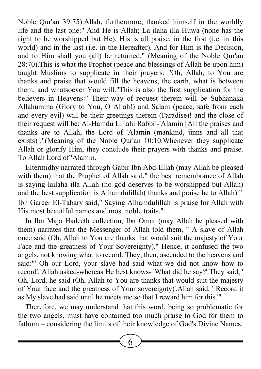Noble Qur'an 39:75).Allah, furthermore, thanked himself in the worldly life and the last one:" And He is Allah; La ilaha illa Huwa (none has the right to be worshipped but He). His is all praise, in the first (i.e. in this world) and in the last (i.e. in the Hereafter). And for Him is the Decision, and to Him shall you (all) be returned." (Meaning of the Noble Qur'an 28:70).This is what the Prophet (peace and blessings of Allah be upon him) taught Muslims to supplicate in their prayers: "Oh, Allah, to You are thanks and praise that would fill the heavens, the earth, what is between them, and whatsoever You will."This is also the first supplication for the believers in Heavens:" Their way of request therein will be Subhanaka Allahumma (Glory to You, O Allah!) and Salam (peace, safe from each and every evil) will be their greetings therein (Paradise)! and the close of their request will be: Al-Hamdu Lillahi Rabbil-'Alamin [All the praises and thanks are to Allah, the Lord of 'Alamin (mankind, jinns and all that exists)]."(Meaning of the Noble Qur'an 10:10.Whenever they supplicate Allah or glorify Him, they conclude their prayers with thanks and praise. To Allah Lord of 'Alamin.

Eltermidhy narrated through Gabir Ibn Abd-Ellah (may Allah be pleased with them) that the Prophet of Allah said," the best remembrance of Allah is saying lailaha illa Allah (no god deserves to be worshipped but Allah) and the best supplication is Alhamdulillah( thanks and praise be to Allah)." Ibn Gareer El-Tabary said," Saying Alhamdulillah is praise for Allah with His most beautiful names and most noble traits."

In Ibn Maja Hadeeth collection, Ibn Omar (may Allah be pleased with them) narrates that the Messenger of Allah told them, " A slave of Allah once said (Oh, Allah to You are thanks that would suit the majesty of Your Face and the greatness of Your Sovereignty)." Hence, it confused the two angels, not knowing what to record. They, then, ascended to the heavens and said:"' Oh our Lord, your slave had said what we did not know how to record'. Allah asked-whereas He best knows- 'What did he say?' They said, ' Oh, Lord, he said (Oh, Allah to You are thanks that would suit the majesty of Your face and the greatness of Your sovereignty)'.Allah said, ' Record it as My slave had said until he meets me so that I reward him for this.'"

Therefore, we may understand that this word, being so problematic for the two angels, must have contained too much praise to God for them to fathom – considering the limits of their knowledge of God's Divine Names.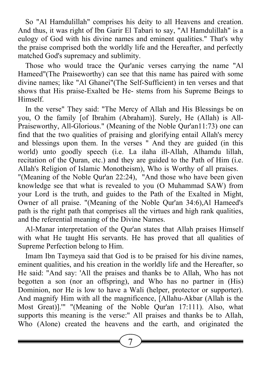So "Al Hamdulillah" comprises his deity to all Heavens and creation. And thus, it was right of Ibn Garir El Tabari to say, "Al Hamdulillah" is a eulogy of God with his divine names and eminent qualities." That's why the praise comprised both the worldly life and the Hereafter, and perfectly matched God's supremacy and sublimity.

Those who would trace the Qur'anic verses carrying the name "Al Hameed"(The Praiseworthy) can see that this name has paired with some divine names; like "Al Ghanei"(The Self-Sufficient) in ten verses and that shows that His praise-Exalted be He- stems from his Supreme Beings to Himself.

In the verse" They said: "The Mercy of Allah and His Blessings be on you, O the family [of Ibrahim (Abraham)]. Surely, He (Allah) is All-Praiseworthy, All-Glorious." (Meaning of the Noble Qur'an11:73) one can find that the two qualities of praising and glorifying entail Allah's mercy and blessings upon them. In the verses " And they are guided (in this world) unto goodly speech (i.e. La ilaha ill-Allah, Alhamdu lillah, recitation of the Quran, etc.) and they are guided to the Path of Him (i.e. Allah's Religion of Islamic Monotheism), Who is Worthy of all praises. "(Meaning of the Noble Qur'an 22:24), "And those who have been given

knowledge see that what is revealed to you (O Muhammad SAW) from your Lord is the truth, and guides to the Path of the Exalted in Might, Owner of all praise. "(Meaning of the Noble Qur'an 34:6),Al Hameed's path is the right path that comprises all the virtues and high rank qualities, and the referential meaning of the Divine Names.

Al-Manar interpretation of the Qur'an states that Allah praises Himself with what He taught His servants. He has proved that all qualities of Supreme Perfection belong to Him.

Imam Ibn Taymeya said that God is to be praised for his divine names, eminent qualities, and his creation in the worldly life and the Hereafter, so He said: "And say: 'All the praises and thanks be to Allah, Who has not begotten a son (nor an offspring), and Who has no partner in (His) Dominion, nor He is low to have a Wali (helper, protector or supporter). And magnify Him with all the magnificence, [Allahu-Akbar (Allah is the Most Great)].'" "(Meaning of the Noble Qur'an 17:111). Also, what supports this meaning is the verse:" All praises and thanks be to Allah, Who (Alone) created the heavens and the earth, and originated the

 $\sqrt{7}$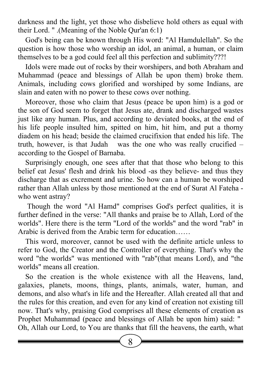darkness and the light, yet those who disbelieve hold others as equal with their Lord. " .(Meaning of the Noble Qur'an 6:1)

God's being can be known through His word: "Al Hamdulellah". So the question is how those who worship an idol, an animal, a human, or claim themselves to be a god could feel all this perfection and sublimity???!

Idols were made out of rocks by their worshipers, and both Abraham and Muhammad (peace and blessings of Allah be upon them) broke them. Animals, including cows glorified and worshiped by some Indians, are slain and eaten with no power to these cows over nothing.

Moreover, those who claim that Jesus (peace be upon him) is a god or the son of God seem to forget that Jesus ate, drank and discharged wastes just like any human. Plus, and according to deviated books, at the end of his life people insulted him, spitted on him, hit him, and put a thorny diadem on his head; beside the claimed crucifixion that ended his life. The truth, however, is that Judah was the one who was really crucified – according to the Gospel of Barnaba.

Surprisingly enough, one sees after that that those who belong to this belief eat Jesus' flesh and drink his blood -as they believe- and thus they discharge that as excrement and urine. So how can a human be worshiped rather than Allah unless by those mentioned at the end of Surat Al Fateha who went astray?

 Though the word "Al Hamd" comprises God's perfect qualities, it is further defined in the verse: "All thanks and praise be to Allah, Lord of the worlds". Here there is the term "Lord of the worlds" and the word "rab" in Arabic is derived from the Arabic term for education……

This word, moreover, cannot be used with the definite article unless to refer to God, the Creator and the Controller of everything. That's why the word "the worlds" was mentioned with "rab"(that means Lord), and "the worlds" means all creation.

So the creation is the whole existence with all the Heavens, land, galaxies, planets, moons, things, plants, animals, water, human, and demons, and also what's in life and the Hereafter. Allah created all that and the rules for this creation, and even for any kind of creation not existing till now. That's why, praising God comprises all these elements of creation as Prophet Muhammad (peace and blessings of Allah be upon him) said: " Oh, Allah our Lord, to You are thanks that fill the heavens, the earth, what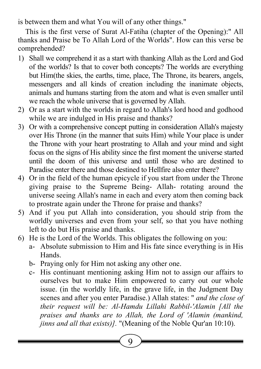is between them and what You will of any other things."

This is the first verse of Surat Al-Fatiha (chapter of the Opening):" All thanks and Praise be To Allah Lord of the Worlds". How can this verse be comprehended?

- 1) Shall we comprehend it as a start with thanking Allah as the Lord and God of the worlds? Is that to cover both concepts? The worlds are everything but Him(the skies, the earths, time, place, The Throne, its bearers, angels, messengers and all kinds of creation including the inanimate objects, animals and humans starting from the atom and what is even smaller until we reach the whole universe that is governed by Allah.
- 2) Or as a start with the worlds in regard to Allah's lord hood and godhood while we are indulged in His praise and thanks?
- 3) Or with a comprehensive concept putting in consideration Allah's majesty over His Throne (in the manner that suits Him) while Your place is under the Throne with your heart prostrating to Allah and your mind and sight focus on the signs of His ability since the first moment the universe started until the doom of this universe and until those who are destined to Paradise enter there and those destined to Hellfire also enter there?
- 4) Or in the field of the human epicycle if you start from under the Throne giving praise to the Supreme Being- Allah- rotating around the universe seeing Allah's name in each and every atom then coming back to prostrate again under the Throne for praise and thanks?
- 5) And if you put Allah into consideration, you should strip from the worldly universes and even from your self, so that you have nothing left to do but His praise and thanks.
- 6) He is the Lord of the Worlds. This obligates the following on you:
	- a- Absolute submission to Him and His fate since everything is in His Hands.
	- b- Praying only for Him not asking any other one.
	- c- His continuant mentioning asking Him not to assign our affairs to ourselves but to make Him empowered to carry out our whole issue. (in the worldly life, in the grave life, in the Judgment Day scenes and after you enter Paradise.) Allah states: " and the close of their request will be: Al-Hamdu Lillahi Rabbil-'Alamin [All the praises and thanks are to Allah, the Lord of 'Alamin (mankind, jinns and all that exists)]. "(Meaning of the Noble Qur'an 10:10).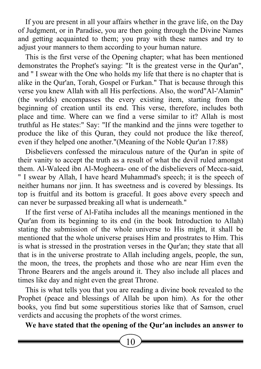If you are present in all your affairs whether in the grave life, on the Day of Judgment, or in Paradise, you are then going through the Divine Names and getting acquainted to them; you pray with these names and try to adjust your manners to them according to your human nature.

This is the first verse of the Opening chapter; what has been mentioned demonstrates the Prophet's saying: "It is the greatest verse in the Qur'an", and " I swear with the One who holds my life that there is no chapter that is alike in the Qur'an, Torah, Gospel or Furkan." That is because through this verse you knew Allah with all His perfections. Also, the word"Al-'Alamin" (the worlds) encompasses the every existing item, starting from the beginning of creation until its end. This verse, therefore, includes both place and time. Where can we find a verse similar to it? Allah is most truthful as He states:" Say: "If the mankind and the jinns were together to produce the like of this Quran, they could not produce the like thereof, even if they helped one another."(Meaning of the Noble Qur'an 17:88)

Disbelievers confessed the miraculous nature of the Qur'an in spite of their vanity to accept the truth as a result of what the devil ruled amongst them. Al-Waleed ibn Al-Mogheera- one of the disbelievers of Mecca-said, " I swear by Allah, I have heard Muhammad's speech; it is the speech of neither humans nor jinn. It has sweetness and is covered by blessings. Its top is fruitful and its bottom is graceful. It goes above every speech and can never be surpassed breaking all what is underneath."

If the first verse of Al-Fatiha includes all the meanings mentioned in the Qur'an from its beginning to its end (in the book Introduction to Allah) stating the submission of the whole universe to His might, it shall be mentioned that the whole universe praises Him and prostrates to Him. This is what is stressed in the prostration verses in the Qur'an; they state that all that is in the universe prostrate to Allah including angels, people, the sun, the moon, the trees, the prophets and those who are near Him even the Throne Bearers and the angels around it. They also include all places and times like day and night even the great Throne.

This is what tells you that you are reading a divine book revealed to the Prophet (peace and blessings of Allah be upon him). As for the other books, you find but some superstitious stories like that of Samson, cruel verdicts and accusing the prophets of the worst crimes.

We have stated that the opening of the Qur'an includes an answer to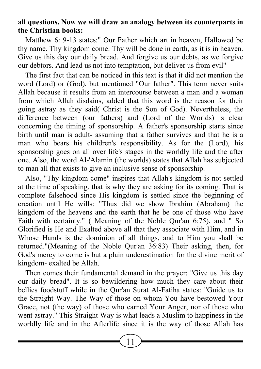### all questions. Now we will draw an analogy between its counterparts in the Christian books:

Matthew 6: 9-13 states:" Our Father which art in heaven, Hallowed be thy name. Thy kingdom come. Thy will be done in earth, as it is in heaven. Give us this day our daily bread. And forgive us our debts, as we forgive our debtors. And lead us not into temptation, but deliver us from evil"

The first fact that can be noticed in this text is that it did not mention the word (Lord) or (God), but mentioned "Our father". This term never suits Allah because it results from an intercourse between a man and a woman from which Allah disdains, added that this word is the reason for their going astray as they said( Christ is the Son of God). Nevertheless, the difference between (our fathers) and (Lord of the Worlds) is clear concerning the timing of sponsorship. A father's sponsorship starts since birth until man is adult- assuming that a father survives and that he is a man who bears his children's responsibility. As for the (Lord), his sponsorship goes on all over life's stages in the worldly life and the after one. Also, the word Al-'Alamin (the worlds) states that Allah has subjected to man all that exists to give an inclusive sense of sponsorship.

Also, "Thy kingdom come" inspires that Allah's kingdom is not settled at the time of speaking, that is why they are asking for its coming. That is complete falsehood since His kingdom is settled since the beginning of creation until He wills: "Thus did we show Ibrahim (Abraham) the kingdom of the heavens and the earth that he be one of those who have Faith with certainty." ( Meaning of the Noble Qur'an 6:75), and " So Glorified is He and Exalted above all that they associate with Him, and in Whose Hands is the dominion of all things, and to Him you shall be returned."(Meaning of the Noble Qur'an 36:83) Their asking, then, for God's mercy to come is but a plain underestimation for the divine merit of kingdom- exalted be Allah.

Then comes their fundamental demand in the prayer: "Give us this day our daily bread". It is so bewildering how much they care about their bellies foodstuff while in the Qur'an Surat Al-Fatiha states: "Guide us to the Straight Way. The Way of those on whom You have bestowed Your Grace, not (the way) of those who earned Your Anger, nor of those who went astray." This Straight Way is what leads a Muslim to happiness in the worldly life and in the Afterlife since it is the way of those Allah has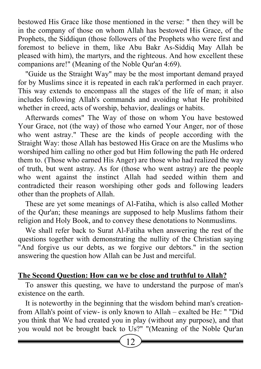bestowed His Grace like those mentioned in the verse: " then they will be in the company of those on whom Allah has bestowed His Grace, of the Prophets, the Siddiqun (those followers of the Prophets who were first and foremost to believe in them, like Abu Bakr As-Siddiq May Allah be pleased with him), the martyrs, and the righteous. And how excellent these companions are!" (Meaning of the Noble Qur'an 4:69).

"Guide us the Straight Way" may be the most important demand prayed for by Muslims since it is repeated in each rak'a performed in each prayer. This way extends to encompass all the stages of the life of man; it also includes following Allah's commands and avoiding what He prohibited whether in creed, acts of worship, behavior, dealings or habits.

Afterwards comes" The Way of those on whom You have bestowed Your Grace, not (the way) of those who earned Your Anger, nor of those who went astray." These are the kinds of people according with the Straight Way: those Allah has bestowed His Grace on are the Muslims who worshiped him calling no other god but Him following the path He ordered them to. (Those who earned His Anger) are those who had realized the way of truth, but went astray. As for (those who went astray) are the people who went against the instinct Allah had seeded within them and contradicted their reason worshiping other gods and following leaders other than the prophets of Allah.

These are yet some meanings of Al-Fatiha, which is also called Mother of the Qur'an; these meanings are supposed to help Muslims fathom their religion and Holy Book, and to convey these denotations to Nonmuslims.

We shall refer back to Surat Al-Fatiha when answering the rest of the questions together with demonstrating the nullity of the Christian saying "And forgive us our debts, as we forgive our debtors." in the section answering the question how Allah can be Just and merciful.

# The Second Question: How can we be close and truthful to Allah?

To answer this questing, we have to understand the purpose of man's existence on the earth.

It is noteworthy in the beginning that the wisdom behind man's creationfrom Allah's point of view- is only known to Allah – exalted be He: " "Did you think that We had created you in play (without any purpose), and that you would not be brought back to Us?" "(Meaning of the Noble Qur'an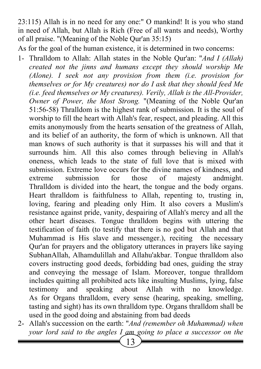23:115) Allah is in no need for any one:" O mankind! It is you who stand in need of Allah, but Allah is Rich (Free of all wants and needs), Worthy of all praise. "(Meaning of the Noble Qur'an 35:15)

As for the goal of the human existence, it is determined in two concerns:

- 1- Thralldom to Allah: Allah states in the Noble Qur'an: "And I (Allah) created not the jinns and humans except they should worship Me (Alone). I seek not any provision from them (i.e. provision for themselves or for My creatures) nor do I ask that they should feed Me (i.e. feed themselves or My creatures). Verily, Allah is the All-Provider, Owner of Power, the Most Strong. "(Meaning of the Noble Qur'an 51:56-58) Thralldom is the highest rank of submission. It is the soul of worship to fill the heart with Allah's fear, respect, and pleading. All this emits anonymously from the hearts sensation of the greatness of Allah, and its belief of an authority, the form of which is unknown. All that man knows of such authority is that it surpasses his will and that it surrounds him. All this also comes through believing in Allah's oneness, which leads to the state of full love that is mixed with submission. Extreme love occurs for the divine names of kindness, and extreme submission for those of majesty andmight. Thralldom is divided into the heart, the tongue and the body organs. Heart thralldom is faithfulness to Allah, repenting to, trusting in, loving, fearing and pleading only Him. It also covers a Muslim's resistance against pride, vanity, despairing of Allah's mercy and all the other heart diseases. Tongue thralldom begins with uttering the testification of faith (to testify that there is no god but Allah and that Muhammad is His slave and messenger.), reciting the necessary Qur'an for prayers and the obligatory utterances in prayers like saying SubhanAllah, Alhamdulillah and Allahu'akbar. Tongue thralldom also covers instructing good deeds, forbidding bad ones, guiding the stray and conveying the message of Islam. Moreover, tongue thralldom includes quitting all prohibited acts like insulting Muslims, lying, false testimony and speaking about Allah with no knowledge. As for Organs thralldom, every sense (hearing, speaking, smelling, tasting and sight) has its own thralldom type. Organs thralldom shall be used in the good doing and abstaining from bad deeds
- 2- Allah's succession on the earth: "And (remember oh Muhammad) when your lord said to the angles I am going to place a successor on the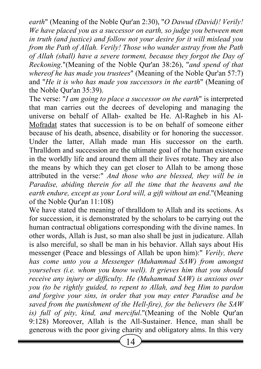earth" (Meaning of the Noble Qur'an 2:30), "O Dawud (David)! Verily! We have placed you as a successor on earth, so judge you between men in truth (and justice) and follow not your desire for it will mislead you from the Path of Allah. Verily! Those who wander astray from the Path of Allah (shall) have a severe torment, because they forgot the Day of Reckoning."(Meaning of the Noble Qur'an 38:26), "and spend of that whereof he has made you trustees" (Meaning of the Noble Qur'an 57:7) and "He it is who has made you successors in the earth" (Meaning of the Noble Qur'an 35:39).

The verse: "I am going to place a successor on the earth" is interpreted that man carries out the decrees of developing and managing the universe on behalf of Allah- exalted be He. Al-Ragheb in his Al-Mofradat states that succession is to be on behalf of someone either because of his death, absence, disability or for honoring the successor. Under the latter, Allah made man His successor on the earth. Thralldom and succession are the ultimate goal of the human existence in the worldly life and around them all their lives rotate. They are also the means by which they can get closer to Allah to be among those attributed in the verse:" And those who are blessed, they will be in Paradise, abiding therein for all the time that the heavens and the earth endure, except as your Lord will, a gift without an end."(Meaning of the Noble Qur'an 11:108)

We have stated the meaning of thralldom to Allah and its sections. As for succession, it is demonstrated by the scholars to be carrying out the human contractual obligations corresponding with the divine names. In other words, Allah is Just, so man also shall be just in judicature. Allah is also merciful, so shall be man in his behavior. Allah says about His messenger (Peace and blessings of Allah be upon him):" Verily, there has come unto you a Messenger (Muhammad SAW) from amongst yourselves (i.e. whom you know well). It grieves him that you should receive any injury or difficulty. He (Muhammad SAW) is anxious over you (to be rightly guided, to repent to Allah, and beg Him to pardon and forgive your sins, in order that you may enter Paradise and be saved from the punishment of the Hell-fire), for the believers (he SAW is) full of pity, kind, and merciful."(Meaning of the Noble Qur'an 9:128) Moreover, Allah is the All-Sustainer. Hence, man shall be generous with the poor giving charity and obligatory alms. In this very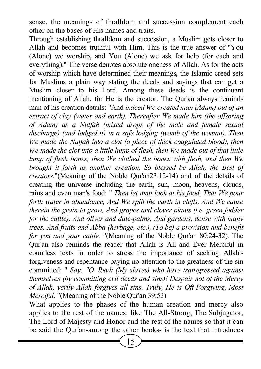sense, the meanings of thralldom and succession complement each other on the bases of His names and traits.

Through establishing thralldom and succession, a Muslim gets closer to Allah and becomes truthful with Him. This is the true answer of "You (Alone) we worship, and You (Alone) we ask for help (for each and everything)." The verse denotes absolute oneness of Allah. As for the acts of worship which have determined their meanings, the Islamic creed sets for Muslims a plain way stating the deeds and sayings that can get a Muslim closer to his Lord. Among these deeds is the continuant mentioning of Allah, for He is the creator. The Qur'an always reminds man of his creation details: "And indeed We created man (Adam) out of an extract of clay (water and earth). Thereafter We made him (the offspring of Adam) as a Nutfah (mixed drops of the male and female sexual discharge) (and lodged it) in a safe lodging (womb of the woman). Then We made the Nutfah into a clot (a piece of thick coagulated blood), then We made the clot into a little lump of flesh, then We made out of that little lump of flesh bones, then We clothed the bones with flesh, and then We brought it forth as another creation. So blessed be Allah, the Best of creators."(Meaning of the Noble Qur'an23:12-14) and of the details of creating the universe including the earth, sun, moon, heavens, clouds, rains and even man's food: " Then let man look at his food, That We pour forth water in abundance, And We split the earth in clefts, And We cause therein the grain to grow, And grapes and clover plants (i.e. green fodder for the cattle), And olives and date-palms, And gardens, dense with many trees, And fruits and Abba (herbage, etc.), (To be) a provision and benefit for you and your cattle. "(Meaning of the Noble Qur'an 80:24-32). The Qur'an also reminds the reader that Allah is All and Ever Merciful in countless texts in order to stress the importance of seeking Allah's forgiveness and repentance paying no attention to the greatness of the sin committed: " Say: "O 'Ibadi (My slaves) who have transgressed against themselves (by committing evil deeds and sins)! Despair not of the Mercy of Allah, verily Allah forgives all sins. Truly, He is Oft-Forgiving, Most Merciful. "(Meaning of the Noble Qur'an 39:53)

What applies to the phases of the human creation and mercy also applies to the rest of the names: like The All-Strong, The Subjugator, The Lord of Majesty and Honor and the rest of the names so that it can be said the Qur'an-among the other books- is the text that introduces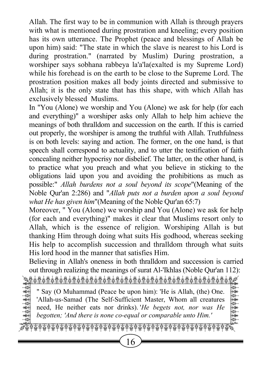Allah. The first way to be in communion with Allah is through prayers with what is mentioned during prostration and kneeling; every position has its own utterance. The Prophet (peace and blessings of Allah be upon him) said: "The state in which the slave is nearest to his Lord is during prostration." (narrated by Muslim) During prostration, a worshiper says sobhana rabbeya la'a'la(exalted is my Supreme Lord) while his forehead is on the earth to be close to the Supreme Lord. The prostration position makes all body joints directed and submissive to Allah; it is the only state that has this shape, with which Allah has exclusively blessed Muslims.

In "You (Alone) we worship and You (Alone) we ask for help (for each and everything)" a worshiper asks only Allah to help him achieve the meanings of both thralldom and succession on the earth. If this is carried out properly, the worshiper is among the truthful with Allah. Truthfulness is on both levels: saying and action. The former, on the one hand, is that speech shall correspond to actuality, and to utter the testification of faith concealing neither hypocrisy nor disbelief. The latter, on the other hand, is to practice what you preach and what you believe in sticking to the obligations laid upon you and avoiding the prohibitions as much as possible:" Allah burdens not a soul beyond its scope"(Meaning of the Noble Qur'an 2:286) and "Allah puts not a burden upon a soul beyond what He has given him"(Meaning of the Noble Qur'an 65:7)

Moreover, " You (Alone) we worship and You (Alone) we ask for help (for each and everything)" makes it clear that Muslims resort only to Allah, which is the essence of religion. Worshiping Allah is but thanking Him through doing what suits His godhood, whereas seeking His help to accomplish succession and thralldom through what suits His lord hood in the manner that satisfies Him.

Believing in Allah's oneness in both thralldom and succession is carried out through realizing the meanings of surat Al-'Ikhlas (Noble Qur'an 112):

QWWWWWWWWWWWWWWWWWWWWWWWE

<u>1998 - 1998 - 1998 - 1998 - 1998 - 1998 - 1998 - 1998 - 1998 - 1998 - 1998 - 1998 - 1998 - 1998 - 1998 - 1998 -</u><br>A David Muhammad (Peace be upon him): 'He is Allah *(the*) One Say (O Muhammad (Peace be upon him): 'He is Allah, (the) One. Allah-us-Samad (The Self-Sufficient Master, Whom all creatures  $\begin{bmatrix} \frac{1}{2} \\ \frac{1}{2} \\ \frac{1}{2} \end{bmatrix}$  need He neither eats nor drinks) 'He heads not nor was He A D begotten; 'And there is none co-equal or comparable unto Him.' " Say (O Muhammad (Peace be upon him): 'He is Allah, (the) One. 'Allah-us-Samad (The Self-Sufficient Master, Whom all creatures need, He neither eats nor drinks). *He begets not, nor was He* begotten; 'And there is none co-equal or comparable unto Him.'

 $\phi$  Z  $\phi$  Z  $\phi$  Z  $\phi$  Z  $\phi$  Z  $\phi$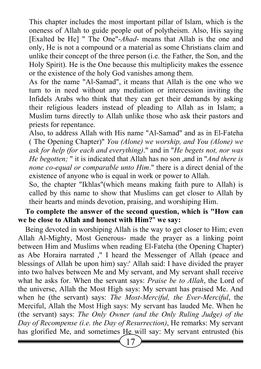This chapter includes the most important pillar of Islam, which is the oneness of Allah to guide people out of polytheism. Also, His saying [Exalted be He] " The One"-Ahad- means that Allah is the one and only, He is not a compound or a material as some Christians claim and unlike their concept of the three person (i.e. the Father, the Son, and the Holy Spirit). He is the One because this multiplicity makes the essence or the existence of the holy God vanishes among them.

As for the name "Al-Samad", it means that Allah is the one who we turn to in need without any mediation or intercession inviting the Infidels Arabs who think that they can get their demands by asking their religious leaders instead of pleading to Allah as in Islam; a Muslim turns directly to Allah unlike those who ask their pastors and priests for repentance.

Also, to address Allah with His name "Al-Samad" and as in El-Fateha ( The Opening Chapter)" You (Alone) we worship, and You (Alone) we ask for help (for each and everything)." and in "He begets not, nor was He begotten; " it is indicated that Allah has no son, and in "*And there is* none co-equal or comparable unto Him." there is a direct denial of the existence of anyone who is equal in work or power to Allah.

So, the chapter "Ikhlas"(which means making faith pure to Allah) is called by this name to show that Muslims can get closer to Allah by their hearts and minds devotion, praising, and worshiping Him.

### To complete the answer of the second question, which is "How can we be close to Allah and honest with Him?" we say:

Being devoted in worshiping Allah is the way to get closer to Him; even Allah Al-Mighty, Most Generous- made the prayer as a linking point between Him and Muslims when reading El-Fateha (the Opening Chapter) as Abe Horaira narrated ," I heard the Messenger of Allah (peace and blessings of Allah be upon him) say:' Allah said: I have divided the prayer into two halves between Me and My servant, and My servant shall receive what he asks for. When the servant says: *Praise be to Allah*, the Lord of the universe, Allah the Most High says: My servant has praised Me. And when he (the servant) says: The Most-Merciful, the Ever-Merciful, the Merciful, Allah the Most High says: My servant has lauded Me. When he (the servant) says: The Only Owner (and the Only Ruling Judge) of the Day of Recompense (i.e. the Day of Resurrection), He remarks: My servant has glorified Me, and sometimes He will say: My servant entrusted (his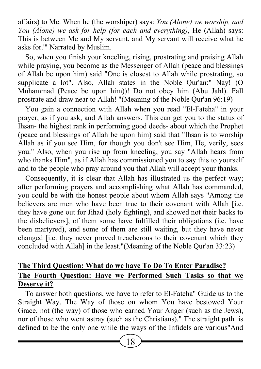affairs) to Me. When he (the worshiper) says: You (Alone) we worship, and You (Alone) we ask for help (for each and everything), He (Allah) says: This is between Me and My servant, and My servant will receive what he asks for.'" Narrated by Muslim.

So, when you finish your kneeling, rising, prostrating and praising Allah while praying, you become as the Messenger of Allah (peace and blessings of Allah be upon him) said "One is closest to Allah while prostrating, so supplicate a lot". Also, Allah states in the Noble Qur'an:" Nay! (O Muhammad (Peace be upon him))! Do not obey him (Abu Jahl). Fall prostrate and draw near to Allah! "(Meaning of the Noble Qur'an 96:19)

You gain a connection with Allah when you read "El-Fateha" in your prayer, as if you ask, and Allah answers. This can get you to the status of Ihsan- the highest rank in performing good deeds- about which the Prophet (peace and blessings of Allah be upon him) said that "Ihsan is to worship Allah as if you see Him, for though you don't see Him, He, verily, sees you." Also, when you rise up from kneeling, you say "Allah hears from who thanks Him", as if Allah has commissioned you to say this to yourself and to the people who pray around you that Allah will accept your thanks.

Consequently, it is clear that Allah has illustrated us the perfect way; after performing prayers and accomplishing what Allah has commanded, you could be with the honest people about whom Allah says "Among the believers are men who have been true to their covenant with Allah [i.e. they have gone out for Jihad (holy fighting), and showed not their backs to the disbelievers], of them some have fulfilled their obligations (i.e. have been martyred), and some of them are still waiting, but they have never changed [i.e. they never proved treacherous to their covenant which they concluded with Allah] in the least."(Meaning of the Noble Qur'an 33:23)

# The Third Question: What do we have To Do To Enter Paradise? The Fourth Question: Have we Performed Such Tasks so that we Deserve it?

To answer both questions, we have to refer to El-Fateha" Guide us to the Straight Way. The Way of those on whom You have bestowed Your Grace, not (the way) of those who earned Your Anger (such as the Jews), nor of those who went astray (such as the Christians)." The straight path is defined to be the only one while the ways of the Infidels are various"And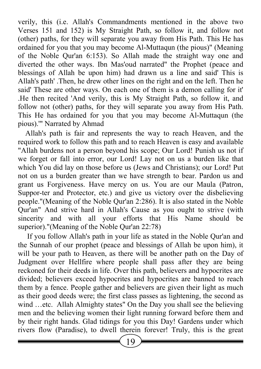verily, this (i.e. Allah's Commandments mentioned in the above two Verses 151 and 152) is My Straight Path, so follow it, and follow not (other) paths, for they will separate you away from His Path. This He has ordained for you that you may become Al-Muttaqun (the pious)" (Meaning of the Noble Qur'an 6:153). So Allah made the straight way one and diverted the other ways. Ibn Mas'oud narrated" the Prophet (peace and blessings of Allah be upon him) had drawn us a line and said' This is Allah's path' .Then, he drew other lines on the right and on the left. Then he said' These are other ways. On each one of them is a demon calling for it' .He then recited 'And verily, this is My Straight Path, so follow it, and follow not (other) paths, for they will separate you away from His Path. This He has ordained for you that you may become Al-Muttaqun (the pious).'" Narrated by Ahmad

Allah's path is fair and represents the way to reach Heaven, and the required work to follow this path and to reach Heaven is easy and available "Allah burdens not a person beyond his scope; Our Lord! Punish us not if we forget or fall into error, our Lord! Lay not on us a burden like that which You did lay on those before us (Jews and Christians); our Lord! Put not on us a burden greater than we have strength to bear. Pardon us and grant us Forgiveness. Have mercy on us. You are our Maula (Patron, Suppor-ter and Protector, etc.) and give us victory over the disbelieving people."(Meaning of the Noble Qur'an 2:286). It is also stated in the Noble Qur'an" And strive hard in Allah's Cause as you ought to strive (with sincerity and with all your efforts that His Name should be superior)."(Meaning of the Noble Qur'an 22:78)

 If you follow Allah's path in your life as stated in the Noble Qur'an and the Sunnah of our prophet (peace and blessings of Allah be upon him), it will be your path to Heaven, as there will be another path on the Day of Judgment over Hellfire where people shall pass after they are being reckoned for their deeds in life. Over this path, believers and hypocrites are divided; believers exceed hypocrites and hypocrites are banned to reach them by a fence. People gather and believers are given their light as much as their good deeds were; the first class passes as lightening, the second as wind …etc. Allah Almighty states" On the Day you shall see the believing men and the believing women their light running forward before them and by their right hands. Glad tidings for you this Day! Gardens under which rivers flow (Paradise), to dwell therein forever! Truly, this is the great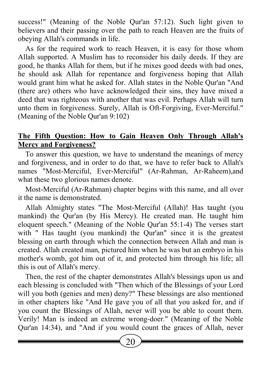success!" (Meaning of the Noble Qur'an 57:12). Such light given to believers and their passing over the path to reach Heaven are the fruits of obeying Allah's commands in life.

As for the required work to reach Heaven, it is easy for those whom Allah supported. A Muslim has to reconsider his daily deeds. If they are good, he thanks Allah for them, but if he mixes good deeds with bad ones, he should ask Allah for repentance and forgiveness hoping that Allah would grant him what he asked for. Allah states in the Noble Qur'an "And (there are) others who have acknowledged their sins, they have mixed a deed that was righteous with another that was evil. Perhaps Allah will turn unto them in forgiveness. Surely, Allah is Oft-Forgiving, Ever-Merciful." (Meaning of the Noble Qur'an 9:102)

### The Fifth Question: How to Gain Heaven Only Through Allah's Mercy and Forgiveness?

To answer this question, we have to understand the meanings of mercy and forgiveness, and in order to do that, we have to refer back to Allah's names "Most-Merciful, Ever-Merciful" (Ar-Rahman, Ar-Raheem),and what these two glorious names denote.

Most-Merciful (Ar-Rahman) chapter begins with this name, and all over it the name is demonstrated.

Allah Almighty states "The Most-Merciful (Allah)! Has taught (you mankind) the Qur'an (by His Mercy). He created man. He taught him eloquent speech." (Meaning of the Noble Qur'an 55:1-4) The verses start with " Has taught (you mankind) the Our'an" since it is the greatest blessing on earth through which the connection between Allah and man is created. Allah created man, pictured him when he was but an embryo in his mother's womb, got him out of it, and protected him through his life; all this is out of Allah's mercy.

Then, the rest of the chapter demonstrates Allah's blessings upon us and each blessing is concluded with "Then which of the Blessings of your Lord will you both (genies and men) deny?" These blessings are also mentioned in other chapters like "And He gave you of all that you asked for, and if you count the Blessings of Allah, never will you be able to count them. Verily! Man is indeed an extreme wrong-doer." (Meaning of the Noble Qur'an 14:34), and "And if you would count the graces of Allah, never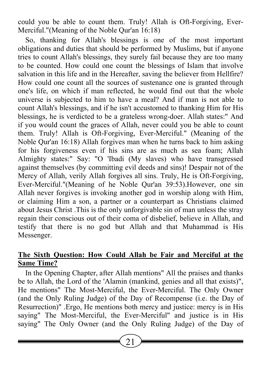could you be able to count them. Truly! Allah is Oft-Forgiving, Ever-Merciful."(Meaning of the Noble Qur'an 16:18)

So, thanking for Allah's blessings is one of the most important obligations and duties that should be performed by Muslims, but if anyone tries to count Allah's blessings, they surely fail because they are too many to be counted. How could one count the blessings of Islam that involve salvation in this life and in the Hereafter, saving the believer from Hellfire? How could one count all the sources of sustenance one is granted through one's life, on which if man reflected, he would find out that the whole universe is subjected to him to have a meal? And if man is not able to count Allah's blessings, and if he isn't accustomed to thanking Him for His blessings, he is verdicted to be a grateless wrong-doer. Allah states:" And if you would count the graces of Allah, never could you be able to count them. Truly! Allah is Oft-Forgiving, Ever-Merciful." (Meaning of the Noble Qur'an 16:18) Allah forgives man when he turns back to him asking for his forgiveness even if his sins are as much as sea foam; Allah Almighty states:" Say: "O 'Ibadi (My slaves) who have transgressed against themselves (by committing evil deeds and sins)! Despair not of the Mercy of Allah, verily Allah forgives all sins. Truly, He is Oft-Forgiving, Ever-Merciful."(Meaning of he Noble Qur'an 39:53).However, one sin Allah never forgives is invoking another god in worship along with Him, or claiming Him a son, a partner or a counterpart as Christians claimed about Jesus Christ .This is the only unforgivable sin of man unless the stray regain their conscious out of their coma of disbelief, believe in Allah, and testify that there is no god but Allah and that Muhammad is His Messenger.

# The Sixth Question: How Could Allah be Fair and Merciful at the Same Time?

In the Opening Chapter, after Allah mentions" All the praises and thanks be to Allah, the Lord of the 'Alamin (mankind, genies and all that exists)", He mentions" The Most-Merciful, the Ever-Merciful. The Only Owner (and the Only Ruling Judge) of the Day of Recompense (i.e. the Day of Resurrection)" .Ergo, He mentions both mercy and justice: mercy is in His saying" The Most-Merciful, the Ever-Merciful" and justice is in His saying" The Only Owner (and the Only Ruling Judge) of the Day of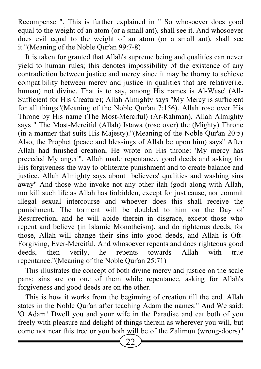Recompense ". This is further explained in " So whosoever does good equal to the weight of an atom (or a small ant), shall see it. And whosoever does evil equal to the weight of an atom (or a small ant), shall see it."(Meaning of the Noble Qur'an 99:7-8)

It is taken for granted that Allah's supreme being and qualities can never yield to human rules; this denotes impossibility of the existence of any contradiction between justice and mercy since it may be thorny to achieve compatibility between mercy and justice in qualities that are relative(i.e. human) not divine. That is to say, among His names is Al-Wase' (All-Sufficient for His Creature); Allah Almighty says "My Mercy is sufficient for all things"(Meaning of the Noble Qur'an 7:156). Allah rose over His Throne by His name (The Most-Merciful) (Ar-Rahman), Allah Almighty says " The Most-Merciful (Allah) Istawa (rose over) the (Mighty) Throne (in a manner that suits His Majesty)."(Meaning of the Noble Qur'an 20:5) Also, the Prophet (peace and blessings of Allah be upon him) says" After Allah had finished creation, He wrote on His throne: 'My mercy has preceded My anger'". Allah made repentance, good deeds and asking for His forgiveness the way to obliterate punishment and to create balance and justice. Allah Almighty says about believers' qualities and washing sins away" And those who invoke not any other ilah (god) along with Allah, nor kill such life as Allah has forbidden, except for just cause, nor commit illegal sexual intercourse and whoever does this shall receive the punishment. The torment will be doubled to him on the Day of Resurrection, and he will abide therein in disgrace, except those who repent and believe (in Islamic Monotheism), and do righteous deeds, for those, Allah will change their sins into good deeds, and Allah is Oft-Forgiving, Ever-Merciful. And whosoever repents and does righteous good deeds, then verily, he repents towards Allah with true repentance."(Meaning of the Noble Qur'an 25:71)

This illustrates the concept of both divine mercy and justice on the scale pans: sins are on one of them while repentance, asking for Allah's forgiveness and good deeds are on the other.

This is how it works from the beginning of creation till the end. Allah states in the Noble Qur'an after teaching Adam the names:" And We said: 'O Adam! Dwell you and your wife in the Paradise and eat both of you freely with pleasure and delight of things therein as wherever you will, but come not near this tree or you both will be of the Zalimun (wrong-doers).'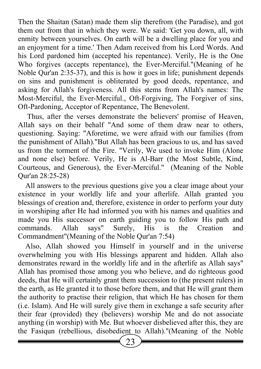Then the Shaitan (Satan) made them slip therefrom (the Paradise), and got them out from that in which they were. We said: 'Get you down, all, with enmity between yourselves. On earth will be a dwelling place for you and an enjoyment for a time.' Then Adam received from his Lord Words. And his Lord pardoned him (accepted his repentance). Verily, He is the One Who forgives (accepts repentance), the Ever-Merciful."(Meaning of he Noble Qur'an 2:35-37), and this is how it goes in life; punishment depends on sins and punishment is obliterated by good deeds, repentance, and asking for Allah's forgiveness. All this stems from Allah's names: The Most-Merciful, the Ever-Merciful., Oft-Forgiving, The Forgiver of sins, Oft-Pardoning, Acceptor of Repentance, The Benevolent.

 Thus, after the verses demonstrate the believers' promise of Heaven, Allah says on their behalf "And some of them draw near to others, questioning. Saying: "Aforetime, we were afraid with our families (from the punishment of Allah)."But Allah has been gracious to us, and has saved us from the torment of the Fire. "Verily, We used to invoke Him (Alone and none else) before. Verily, He is Al-Barr (the Most Subtle, Kind, Courteous, and Generous), the Ever-Merciful." (Meaning of the Noble Qur'an 28:25-28)

All answers to the previous questions give you a clear image about your existence in your worldly life and your afterlife. Allah granted you blessings of creation and, therefore, existence in order to perform your duty in worshiping after He had informed you with his names and qualities and made you His successor on earth guiding you to follow His path and commands. Allah says" Surely, His is the Creation and Commandment"(Meaning of the Noble Qur'an 7:54)

Also, Allah showed you Himself in yourself and in the universe overwhelming you with His blessings apparent and hidden. Allah also demonstrates reward in the worldly life and in the afterlife as Allah says" Allah has promised those among you who believe, and do righteous good deeds, that He will certainly grant them succession to (the present rulers) in the earth, as He granted it to those before them, and that He will grant them the authority to practise their religion, that which He has chosen for them (i.e. Islam). And He will surely give them in exchange a safe security after their fear (provided) they (believers) worship Me and do not associate anything (in worship) with Me. But whoever disbelieved after this, they are the Fasiqun (rebellious, disobedient to Allah)."(Meaning of the Noble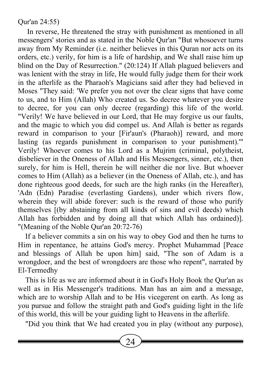### Qur'an 24:55)

 In reverse, He threatened the stray with punishment as mentioned in all messengers' stories and as stated in the Noble Qur'an "But whosoever turns away from My Reminder (i.e. neither believes in this Quran nor acts on its orders, etc.) verily, for him is a life of hardship, and We shall raise him up blind on the Day of Resurrection." (20:124) If Allah plagued believers and was lenient with the stray in life, He would fully judge them for their work in the afterlife as the Pharaoh's Magicians said after they had believed in Moses "They said: 'We prefer you not over the clear signs that have come to us, and to Him (Allah) Who created us. So decree whatever you desire to decree, for you can only decree (regarding) this life of the world. "Verily! We have believed in our Lord, that He may forgive us our faults, and the magic to which you did compel us. And Allah is better as regards reward in comparison to your [Fir'aun's (Pharaoh)] reward, and more lasting (as regards punishment in comparison to your punishment).'" Verily! Whoever comes to his Lord as a Mujrim (criminal, polytheist, disbeliever in the Oneness of Allah and His Messengers, sinner, etc.), then surely, for him is Hell, therein he will neither die nor live. But whoever comes to Him (Allah) as a believer (in the Oneness of Allah, etc.), and has done righteous good deeds, for such are the high ranks (in the Hereafter), 'Adn (Edn) Paradise (everlasting Gardens), under which rivers flow, wherein they will abide forever: such is the reward of those who purify themselves [(by abstaining from all kinds of sins and evil deeds) which Allah has forbidden and by doing all that which Allah has ordained)]. "(Meaning of the Noble Qur'an 20:72-76)

If a believer commits a sin on his way to obey God and then he turns to Him in repentance, he attains God's mercy. Prophet Muhammad [Peace and blessings of Allah be upon him] said, "The son of Adam is a wrongdoer, and the best of wrongdoers are those who repent", narrated by El-Termedhy

This is life as we are informed about it in God's Holy Book the Qur'an as well as in His Messenger's traditions. Man has an aim and a message, which are to worship Allah and to be His vicegerent on earth. As long as you pursue and follow the straight path and God's guiding light in the life of this world, this will be your guiding light to Heavens in the afterlife.

"Did you think that We had created you in play (without any purpose),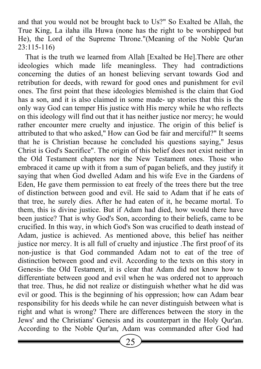and that you would not be brought back to Us?" So Exalted be Allah, the True King, La ilaha illa Huwa (none has the right to be worshipped but He), the Lord of the Supreme Throne."(Meaning of the Noble Qur'an 23:115-116)

That is the truth we learned from Allah [Exalted be He].There are other ideologies which made life meaningless. They had contradictions concerning the duties of an honest believing servant towards God and retribution for deeds, with reward for good ones and punishment for evil ones. The first point that these ideologies blemished is the claim that God has a son, and it is also claimed in some made- up stories that this is the only way God can temper His justice with His mercy while he who reflects on this ideology will find out that it has neither justice nor mercy; he would rather encounter mere cruelty and injustice. The origin of this belief is attributed to that who asked," How can God be fair and merciful?" It seems that he is Christian because he concluded his questions saying," Jesus Christ is God's Sacrifice". The origin of this belief does not exist neither in the Old Testament chapters nor the New Testament ones. Those who embraced it came up with it from a sum of pagan beliefs, and they justify it saying that when God dwelled Adam and his wife Eve in the Gardens of Eden, He gave them permission to eat freely of the trees there but the tree of distinction between good and evil. He said to Adam that if he eats of that tree, he surely dies. After he had eaten of it, he became mortal. To them, this is divine justice. But if Adam had died, how would there have been justice? That is why God's Son, according to their beliefs, came to be crucified. In this way, in which God's Son was crucified to death instead of Adam, justice is achieved. As mentioned above, this belief has neither justice nor mercy. It is all full of cruelty and injustice .The first proof of its non-justice is that God commanded Adam not to eat of the tree of distinction between good and evil. According to the texts on this story in Genesis- the Old Testament, it is clear that Adam did not know how to differentiate between good and evil when he was ordered not to approach that tree. Thus, he did not realize or distinguish whether what he did was evil or good. This is the beginning of his oppression; how can Adam bear responsibility for his deeds while he can never distinguish between what is right and what is wrong? There are differences between the story in the Jews' and the Christians' Genesis and its counterpart in the Holy Qur'an. According to the Noble Qur'an, Adam was commanded after God had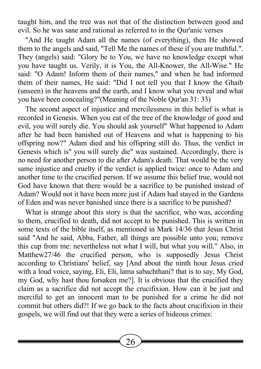taught him, and the tree was not that of the distinction between good and evil. So he was sane and rational as referred to in the Qur'anic verses

"And He taught Adam all the names (of everything), then He showed them to the angels and said, "Tell Me the names of these if you are truthful.". They (angels) said: "Glory be to You, we have no knowledge except what you have taught us. Verily, it is You, the All-Knower, the All-Wise." He said: "O Adam! Inform them of their names," and when he had informed them of their names, He said: "Did I not tell you that I know the Ghaib (unseen) in the heavens and the earth, and I know what you reveal and what you have been concealing?"(Meaning of the Noble Qur'an 31: 33)

The second aspect of injustice and mercilessness in this belief is what is recorded in Genesis. When you eat of the tree of the knowledge of good and evil, you will surely die. You should ask yourself" What happened to Adam after he had been banished out of Heavens and what is happening to his offspring now?" Adam died and his offspring still do. Thus, the verdict in Genesis which is" you will surely die" was sustained. Accordingly, there is no need for another person to die after Adam's death. That would be the very same injustice and cruelty if the verdict is applied twice: once to Adam and another time to the crucified person. If we assume this belief true, would not God have known that there would be a sacrifice to be punished instead of Adam? Would not it have been more just if Adam had stayed in the Gardens of Eden and was never banished since there is a sacrifice to be punished?

What is strange about this story is that the sacrifice, who was, according to them, crucified to death, did not accept to be punished. This is written in some texts of the bible itself, as mentioned in Mark 14/36 that Jesus Christ said "And he said, Abba, Father, all things are possible unto you; remove this cup from me: nevertheless not what I will, but what you will." Also, in Matthew27/46 the crucified person, who is supposedly Jesus Christ according to Christians' belief, say [And about the ninth hour Jesus cried with a loud voice, saying, Eli, Eli, lama sabachthani? that is to say, My God, my God, why hast thou forsaken me?]. It is obvious that the crucified they claim as a sacrifice did not accept the crucifixion. How can it be just and merciful to get an innocent man to be punished for a crime he did not commit but others did?! If we go back to the facts about crucifixion in their gospels, we will find out that they were a series of hideous crimes: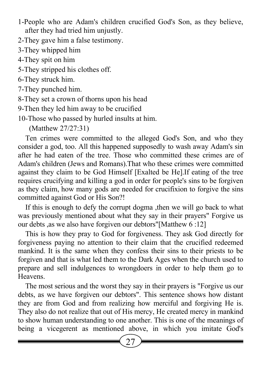- 1-People who are Adam's children crucified God's Son, as they believe, after they had tried him unjustly.
- 2-They gave him a false testimony.
- 3-They whipped him
- 4-They spit on him
- 5-They stripped his clothes off.
- 6-They struck him.
- 7-They punched him.
- 8-They set a crown of thorns upon his head
- 9-Then they led him away to be crucified
- 10-Those who passed by hurled insults at him.

(Matthew 27/27:31)

Ten crimes were committed to the alleged God's Son, and who they consider a god, too. All this happened supposedly to wash away Adam's sin after he had eaten of the tree. Those who committed these crimes are of Adam's children (Jews and Romans).That who these crimes were committed against they claim to be God Himself [Exalted be He].If eating of the tree requires crucifying and killing a god in order for people's sins to be forgiven as they claim, how many gods are needed for crucifixion to forgive the sins committed against God or His Son?!

If this is enough to defy the corrupt dogma ,then we will go back to what was previously mentioned about what they say in their prayers" Forgive us our debts ,as we also have forgiven our debtors"[Matthew 6 :12]

This is how they pray to God for forgiveness. They ask God directly for forgiveness paying no attention to their claim that the crucified redeemed mankind. It is the same when they confess their sins to their priests to be forgiven and that is what led them to the Dark Ages when the church used to prepare and sell indulgences to wrongdoers in order to help them go to **Heavens** 

The most serious and the worst they say in their prayers is "Forgive us our debts, as we have forgiven our debtors". This sentence shows how distant they are from God and from realizing how merciful and forgiving He is. They also do not realize that out of His mercy, He created mercy in mankind to show human understanding to one another. This is one of the meanings of being a vicegerent as mentioned above, in which you imitate God's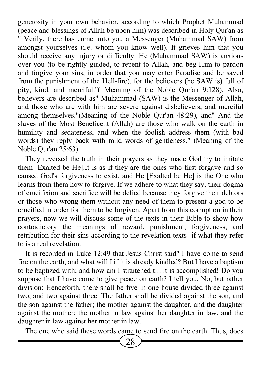generosity in your own behavior, according to which Prophet Muhammad (peace and blessings of Allah be upon him) was described in Holy Qur'an as " Verily, there has come unto you a Messenger (Muhammad SAW) from amongst yourselves (i.e. whom you know well). It grieves him that you should receive any injury or difficulty. He (Muhammad SAW) is anxious over you (to be rightly guided, to repent to Allah, and beg Him to pardon and forgive your sins, in order that you may enter Paradise and be saved from the punishment of the Hell-fire), for the believers (he SAW is) full of pity, kind, and merciful."( Meaning of the Noble Qur'an 9:128). Also, believers are described as" Muhammad (SAW) is the Messenger of Allah, and those who are with him are severe against disbelievers, and merciful among themselves."(Meaning of the Noble Qur'an 48:29), and" And the slaves of the Most Beneficent (Allah) are those who walk on the earth in humility and sedateness, and when the foolish address them (with bad words) they reply back with mild words of gentleness." (Meaning of the Noble Qur'an 25:63)

They reversed the truth in their prayers as they made God try to imitate them [Exalted be He].It is as if they are the ones who first forgave and so caused God's forgiveness to exist, and He [Exalted be He] is the One who learns from them how to forgive. If we adhere to what they say, their dogma of crucifixion and sacrifice will be defied because they forgive their debtors or those who wrong them without any need of them to present a god to be crucified in order for them to be forgiven. Apart from this corruption in their prayers, now we will discuss some of the texts in their Bible to show how contradictory the meanings of reward, punishment, forgiveness, and retribution for their sins according to the revelation texts- if what they refer to is a real revelation:

It is recorded in Luke 12:49 that Jesus Christ said" I have come to send fire on the earth; and what will I if it is already kindled? But I have a baptism to be baptized with; and how am I straitened till it is accomplished! Do you suppose that I have come to give peace on earth? I tell you, No; but rather division: Henceforth, there shall be five in one house divided three against two, and two against three. The father shall be divided against the son, and the son against the father; the mother against the daughter, and the daughter against the mother; the mother in law against her daughter in law, and the daughter in law against her mother in law.

The one who said these words came to send fire on the earth. Thus, does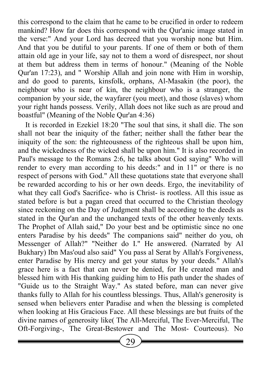this correspond to the claim that he came to be crucified in order to redeem mankind? How far does this correspond with the Qur'anic image stated in the verse:" And your Lord has decreed that you worship none but Him. And that you be dutiful to your parents. If one of them or both of them attain old age in your life, say not to them a word of disrespect, nor shout at them but address them in terms of honour." (Meaning of the Noble Qur'an 17:23), and " Worship Allah and join none with Him in worship, and do good to parents, kinsfolk, orphans, Al-Masakin (the poor), the neighbour who is near of kin, the neighbour who is a stranger, the companion by your side, the wayfarer (you meet), and those (slaves) whom your right hands possess. Verily, Allah does not like such as are proud and boastful" (Meaning of the Noble Qur'an 4:36)

It is recorded in Ezekiel 18:20 "The soul that sins, it shall die. The son shall not bear the iniquity of the father; neither shall the father bear the iniquity of the son: the righteousness of the righteous shall be upon him, and the wickedness of the wicked shall be upon him." It is also recorded in Paul's message to the Romans 2:6, he talks about God saying" Who will render to every man according to his deeds:" and in 11" or there is no respect of persons with God." All these quotations state that everyone shall be rewarded according to his or her own deeds. Ergo, the inevitability of what they call God's Sacrifice- who is Christ- is rootless. All this issue as stated before is but a pagan creed that occurred to the Christian theology since reckoning on the Day of Judgment shall be according to the deeds as stated in the Qur'an and the unchanged texts of the other heavenly texts. The Prophet of Allah said," Do your best and be optimistic since no one enters Paradise by his deeds" The companions said" neither do you, oh Messenger of Allah?" "Neither do I." He answered. (Narrated by Al Bukhary) Ibn Mas'oud also said" You pass al Serat by Allah's Forgiveness, enter Paradise by His mercy and get your status by your deeds." Allah's grace here is a fact that can never be denied, for He created man and blessed him with His thanking guiding him to His path under the shades of "Guide us to the Straight Way." As stated before, man can never give thanks fully to Allah for his countless blessings. Thus, Allah's generosity is sensed when believers enter Paradise and when the blessing is completed when looking at His Gracious Face. All these blessings are but fruits of the divine names of generosity like( The All-Merciful, The Ever-Merciful, The Oft-Forgiving-, The Great-Bestower and The Most- Courteous). No